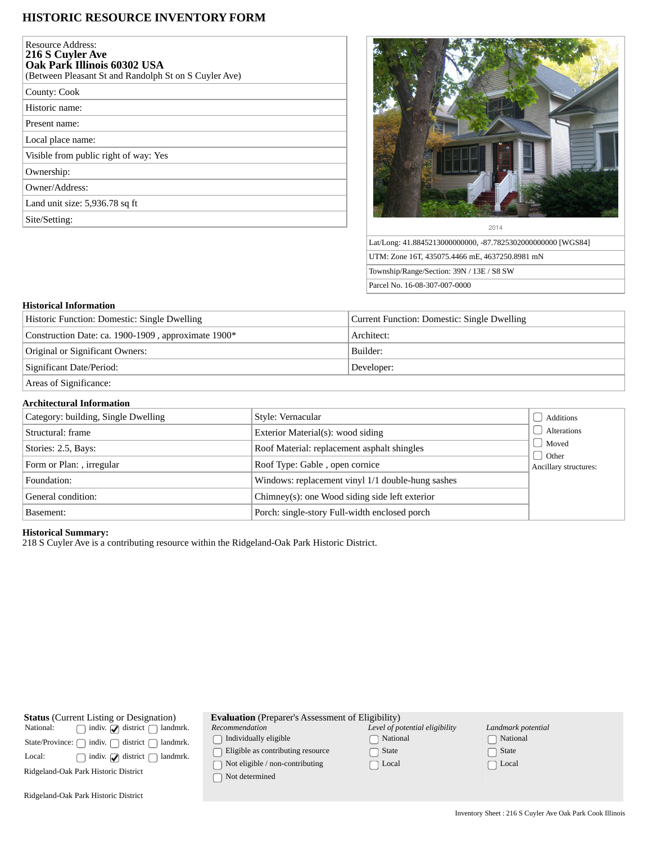# **HISTORIC RESOURCE INVENTORY FORM**

| <b>Resource Address:</b><br>216 S Cuyler Ave<br>Oak Park Illinois 60302 USA<br>(Between Pleasant St and Randolph St on S Cuyler Ave) |
|--------------------------------------------------------------------------------------------------------------------------------------|
| County: Cook                                                                                                                         |
| Historic name:                                                                                                                       |
| Present name:                                                                                                                        |
| Local place name:                                                                                                                    |
| Visible from public right of way: Yes                                                                                                |
| Ownership:                                                                                                                           |
| Owner/Address:                                                                                                                       |
| Land unit size: 5,936.78 sq ft                                                                                                       |
| Site/Setting:                                                                                                                        |
|                                                                                                                                      |



Lat/Long: 41.8845213000000000, -87.7825302000000000 [WGS84] UTM: Zone 16T, 435075.4466 mE, 4637250.8981 mN Township/Range/Section: 39N / 13E / S8 SW Parcel No. 16-08-307-007-0000

### **Historical Information**

| Historic Function: Domestic: Single Dwelling        | Current Function: Domestic: Single Dwelling |
|-----------------------------------------------------|---------------------------------------------|
| Construction Date: ca. 1900-1909, approximate 1900* | Architect:                                  |
| Original or Significant Owners:                     | Builder:                                    |
| Significant Date/Period:                            | Developer:                                  |
| Areas of Significance:                              |                                             |

#### **Architectural Information**

| Category: building, Single Dwelling | Style: Vernacular                                 | Additions                        |
|-------------------------------------|---------------------------------------------------|----------------------------------|
| Structural: frame                   | <b>Exterior Material(s): wood siding</b>          | Alterations                      |
| Stories: 2.5, Bays:                 | Roof Material: replacement asphalt shingles       | Moved                            |
| Form or Plan: , irregular           | Roof Type: Gable, open cornice                    | J Other<br>Ancillary structures: |
| Foundation:                         | Windows: replacement vinyl 1/1 double-hung sashes |                                  |
| General condition:                  | Chimney(s): one Wood siding side left exterior    |                                  |
| Basement:                           | Porch: single-story Full-width enclosed porch     |                                  |

## **Historical Summary:**

218 S Cuyler Ave is a contributing resource within the Ridgeland-Oak Park Historic District.

| <b>Status</b> (Current Listing or Designation)<br>indiv. $\bigcirc$ district $\bigcap$<br>National:<br>landmrk.<br>indiv. $\bigcap$<br>district [<br>State/Province:<br>landmrk.<br>indiv. $\sqrt{\phantom{a}}$ district $\sqrt{\phantom{a}}$<br>Local:<br>landmrk.<br>Ridgeland-Oak Park Historic District | <b>Evaluation</b> (Preparer's Assessment of Eligibility)<br>Recommendation<br>Individually eligible<br>Eligible as contributing resource<br>Not eligible / non-contributing<br>Not determined | Level of potential eligibility<br>National<br>State<br>∩ Local | Landmark potential<br>Rational<br>State<br>$\Box$ Local |  |
|-------------------------------------------------------------------------------------------------------------------------------------------------------------------------------------------------------------------------------------------------------------------------------------------------------------|-----------------------------------------------------------------------------------------------------------------------------------------------------------------------------------------------|----------------------------------------------------------------|---------------------------------------------------------|--|
| Ridgeland-Oak Park Historic District                                                                                                                                                                                                                                                                        |                                                                                                                                                                                               |                                                                |                                                         |  |